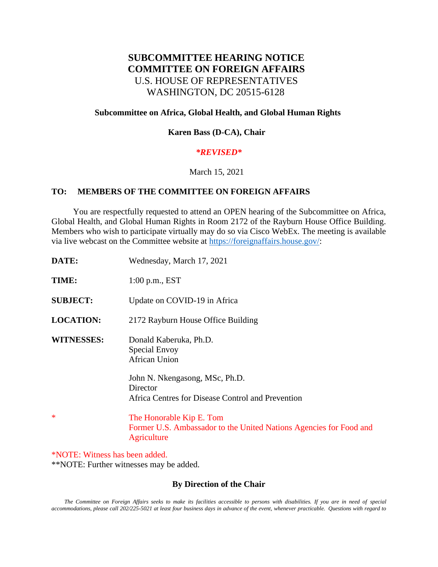# **SUBCOMMITTEE HEARING NOTICE COMMITTEE ON FOREIGN AFFAIRS** U.S. HOUSE OF REPRESENTATIVES WASHINGTON, DC 20515-6128

## **Subcommittee on Africa, Global Health, and Global Human Rights**

## **Karen Bass (D-CA), Chair**

# *\*REVISED\**

#### March 15, 2021

#### **TO: MEMBERS OF THE COMMITTEE ON FOREIGN AFFAIRS**

 You are respectfully requested to attend an OPEN hearing of the Subcommittee on Africa, Global Health, and Global Human Rights in Room 2172 of the Rayburn House Office Building. Members who wish to participate virtually may do so via Cisco WebEx. The meeting is available via live webcast on the Committee website at [https://foreignaffairs.house.gov/:](https://foreignaffairs.house.gov/)

| DATE:             | Wednesday, March 17, 2021                                                                                     |
|-------------------|---------------------------------------------------------------------------------------------------------------|
| TIME:             | $1:00$ p.m., EST                                                                                              |
| <b>SUBJECT:</b>   | Update on COVID-19 in Africa                                                                                  |
| <b>LOCATION:</b>  | 2172 Rayburn House Office Building                                                                            |
| <b>WITNESSES:</b> | Donald Kaberuka, Ph.D.<br>Special Envoy<br><b>African Union</b>                                               |
|                   | John N. Nkengasong, MSc, Ph.D.<br>Director<br>Africa Centres for Disease Control and Prevention               |
| *                 | The Honorable Kip E. Tom<br>Former U.S. Ambassador to the United Nations Agencies for Food and<br>Agriculture |

\*NOTE: Witness has been added. \*\*NOTE: Further witnesses may be added.

# **By Direction of the Chair**

*The Committee on Foreign Affairs seeks to make its facilities accessible to persons with disabilities. If you are in need of special accommodations, please call 202/225-5021 at least four business days in advance of the event, whenever practicable. Questions with regard to*